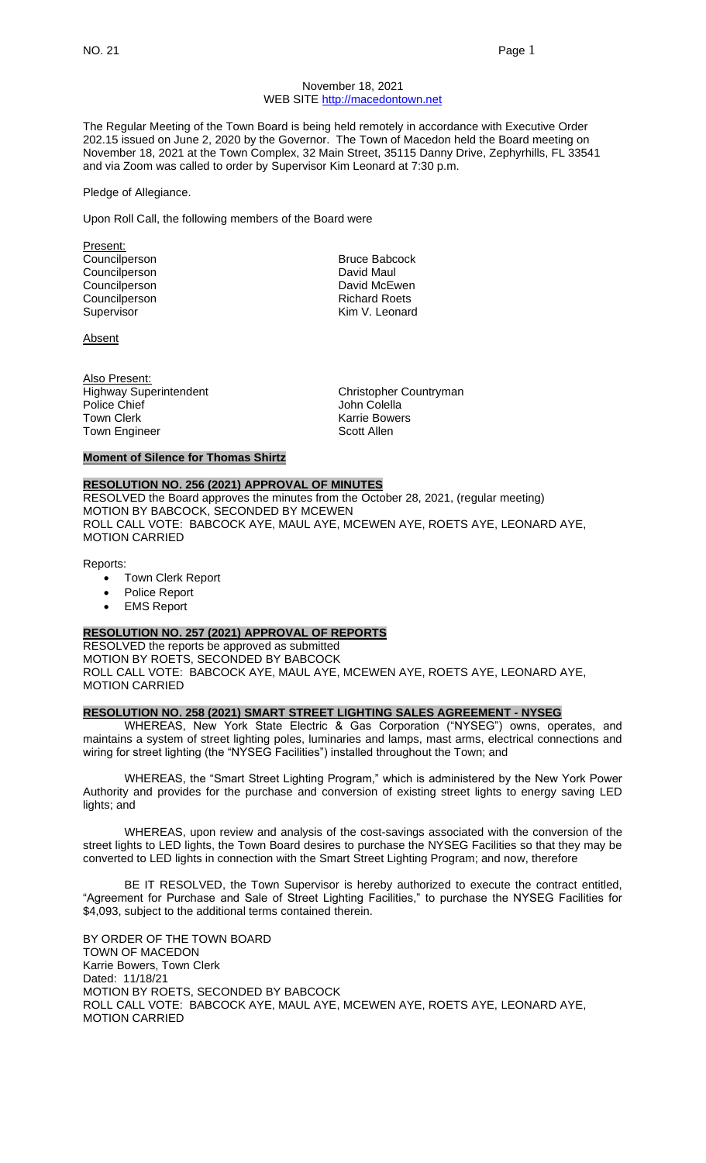#### November 18, 2021 WEB SITE [http://macedontown.net](http://macedontown.net/)

The Regular Meeting of the Town Board is being held remotely in accordance with Executive Order 202.15 issued on June 2, 2020 by the Governor. The Town of Macedon held the Board meeting on November 18, 2021 at the Town Complex, 32 Main Street, 35115 Danny Drive, Zephyrhills, FL 33541 and via Zoom was called to order by Supervisor Kim Leonard at 7:30 p.m.

Pledge of Allegiance.

Upon Roll Call, the following members of the Board were

Present: Councilperson **Bruce Babcock** Councilperson David Maul Councilperson **David McEwen** Councilperson **Richard Roets**<br>
Supervisor **Richard Roets**<br>
Kim V. Leonard

Absent

Also Present: Highway Superintendent Christopher Countryman Police Chief **Chief Cole Chief Coleman Cole Chief** John Colella Town Clerk **Karrie Bowers**<br>Town Engineer **Karrie Bowers** Scott Allen Town Engineer

Kim V. Leonard

#### **Moment of Silence for Thomas Shirtz**

## **RESOLUTION NO. 256 (2021) APPROVAL OF MINUTES**

RESOLVED the Board approves the minutes from the October 28, 2021, (regular meeting) MOTION BY BABCOCK, SECONDED BY MCEWEN ROLL CALL VOTE: BABCOCK AYE, MAUL AYE, MCEWEN AYE, ROETS AYE, LEONARD AYE, MOTION CARRIED

Reports:

- Town Clerk Report
- Police Report
- **EMS Report**

#### **RESOLUTION NO. 257 (2021) APPROVAL OF REPORTS**

RESOLVED the reports be approved as submitted MOTION BY ROETS, SECONDED BY BABCOCK ROLL CALL VOTE: BABCOCK AYE, MAUL AYE, MCEWEN AYE, ROETS AYE, LEONARD AYE, MOTION CARRIED

## **RESOLUTION NO. 258 (2021) SMART STREET LIGHTING SALES AGREEMENT - NYSEG**

WHEREAS, New York State Electric & Gas Corporation ("NYSEG") owns, operates, and maintains a system of street lighting poles, luminaries and lamps, mast arms, electrical connections and wiring for street lighting (the "NYSEG Facilities") installed throughout the Town; and

WHEREAS, the "Smart Street Lighting Program," which is administered by the New York Power Authority and provides for the purchase and conversion of existing street lights to energy saving LED lights; and

WHEREAS, upon review and analysis of the cost-savings associated with the conversion of the street lights to LED lights, the Town Board desires to purchase the NYSEG Facilities so that they may be converted to LED lights in connection with the Smart Street Lighting Program; and now, therefore

BE IT RESOLVED, the Town Supervisor is hereby authorized to execute the contract entitled, "Agreement for Purchase and Sale of Street Lighting Facilities," to purchase the NYSEG Facilities for \$4,093, subject to the additional terms contained therein.

BY ORDER OF THE TOWN BOARD TOWN OF MACEDON Karrie Bowers, Town Clerk Dated: 11/18/21 MOTION BY ROETS, SECONDED BY BABCOCK ROLL CALL VOTE: BABCOCK AYE, MAUL AYE, MCEWEN AYE, ROETS AYE, LEONARD AYE, MOTION CARRIED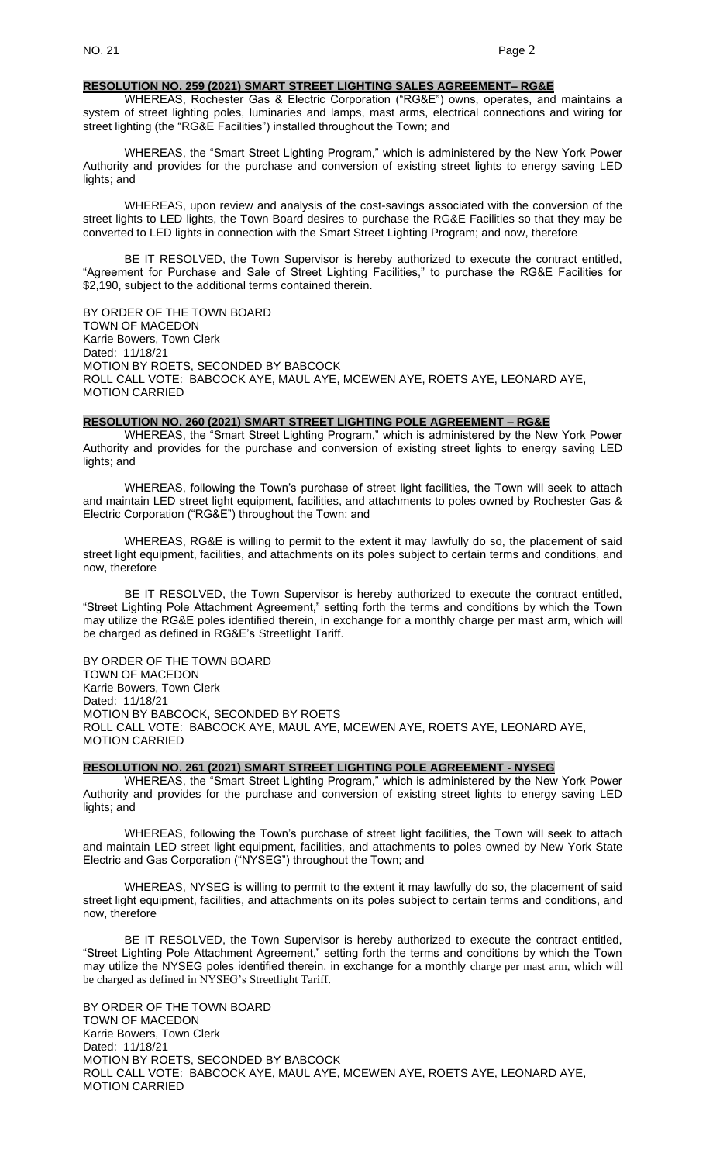#### **RESOLUTION NO. 259 (2021) SMART STREET LIGHTING SALES AGREEMENT– RG&E**

WHEREAS, Rochester Gas & Electric Corporation ("RG&E") owns, operates, and maintains a system of street lighting poles, luminaries and lamps, mast arms, electrical connections and wiring for street lighting (the "RG&E Facilities") installed throughout the Town; and

WHEREAS, the "Smart Street Lighting Program," which is administered by the New York Power Authority and provides for the purchase and conversion of existing street lights to energy saving LED lights; and

WHEREAS, upon review and analysis of the cost-savings associated with the conversion of the street lights to LED lights, the Town Board desires to purchase the RG&E Facilities so that they may be converted to LED lights in connection with the Smart Street Lighting Program; and now, therefore

BE IT RESOLVED, the Town Supervisor is hereby authorized to execute the contract entitled, "Agreement for Purchase and Sale of Street Lighting Facilities," to purchase the RG&E Facilities for \$2,190, subject to the additional terms contained therein.

BY ORDER OF THE TOWN BOARD TOWN OF MACEDON Karrie Bowers, Town Clerk Dated: 11/18/21 MOTION BY ROETS, SECONDED BY BABCOCK ROLL CALL VOTE: BABCOCK AYE, MAUL AYE, MCEWEN AYE, ROETS AYE, LEONARD AYE, MOTION CARRIED

#### **RESOLUTION NO. 260 (2021) SMART STREET LIGHTING POLE AGREEMENT – RG&E**

WHEREAS, the "Smart Street Lighting Program," which is administered by the New York Power Authority and provides for the purchase and conversion of existing street lights to energy saving LED lights; and

WHEREAS, following the Town's purchase of street light facilities, the Town will seek to attach and maintain LED street light equipment, facilities, and attachments to poles owned by Rochester Gas & Electric Corporation ("RG&E") throughout the Town; and

WHEREAS, RG&E is willing to permit to the extent it may lawfully do so, the placement of said street light equipment, facilities, and attachments on its poles subject to certain terms and conditions, and now, therefore

BE IT RESOLVED, the Town Supervisor is hereby authorized to execute the contract entitled, "Street Lighting Pole Attachment Agreement," setting forth the terms and conditions by which the Town may utilize the RG&E poles identified therein, in exchange for a monthly charge per mast arm, which will be charged as defined in RG&E's Streetlight Tariff.

BY ORDER OF THE TOWN BOARD TOWN OF MACEDON Karrie Bowers, Town Clerk Dated: 11/18/21 MOTION BY BABCOCK, SECONDED BY ROETS ROLL CALL VOTE: BABCOCK AYE, MAUL AYE, MCEWEN AYE, ROETS AYE, LEONARD AYE, MOTION CARRIED

#### **RESOLUTION NO. 261 (2021) SMART STREET LIGHTING POLE AGREEMENT - NYSEG**

WHEREAS, the "Smart Street Lighting Program," which is administered by the New York Power Authority and provides for the purchase and conversion of existing street lights to energy saving LED lights; and

WHEREAS, following the Town's purchase of street light facilities, the Town will seek to attach and maintain LED street light equipment, facilities, and attachments to poles owned by New York State Electric and Gas Corporation ("NYSEG") throughout the Town; and

WHEREAS, NYSEG is willing to permit to the extent it may lawfully do so, the placement of said street light equipment, facilities, and attachments on its poles subject to certain terms and conditions, and now, therefore

BE IT RESOLVED, the Town Supervisor is hereby authorized to execute the contract entitled, "Street Lighting Pole Attachment Agreement," setting forth the terms and conditions by which the Town may utilize the NYSEG poles identified therein, in exchange for a monthly charge per mast arm, which will be charged as defined in NYSEG's Streetlight Tariff.

BY ORDER OF THE TOWN BOARD TOWN OF MACEDON Karrie Bowers, Town Clerk Dated: 11/18/21 MOTION BY ROETS, SECONDED BY BABCOCK ROLL CALL VOTE: BABCOCK AYE, MAUL AYE, MCEWEN AYE, ROETS AYE, LEONARD AYE, MOTION CARRIED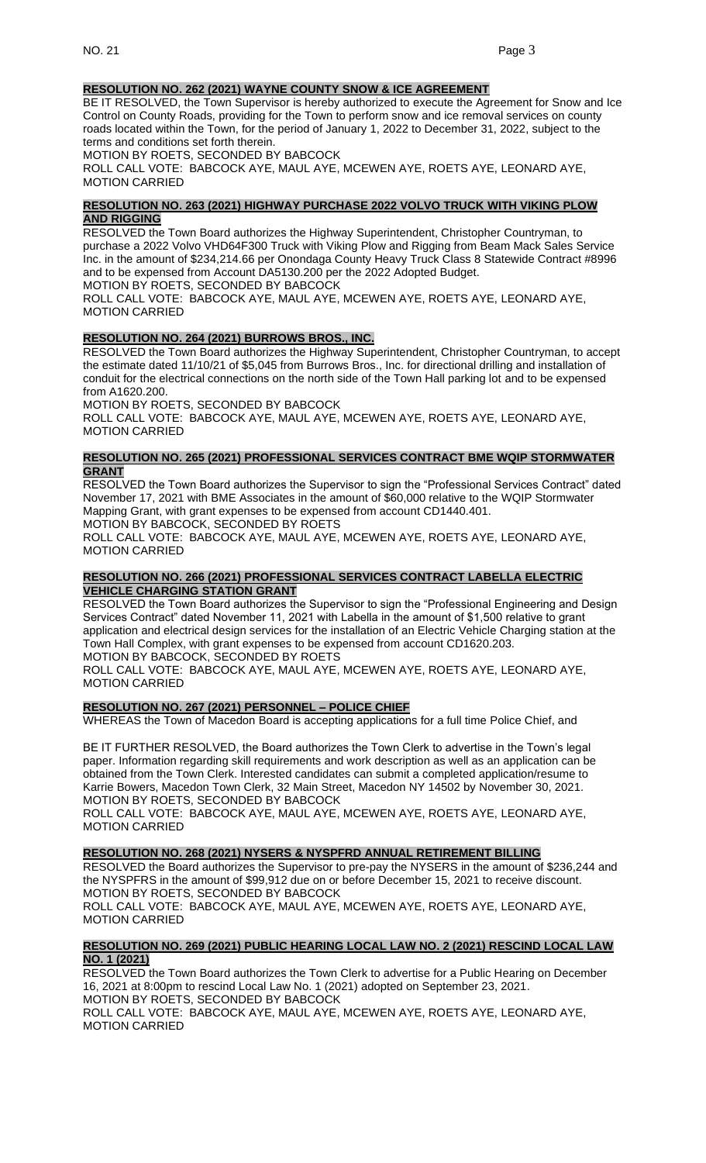# **RESOLUTION NO. 262 (2021) WAYNE COUNTY SNOW & ICE AGREEMENT**

BE IT RESOLVED, the Town Supervisor is hereby authorized to execute the Agreement for Snow and Ice Control on County Roads, providing for the Town to perform snow and ice removal services on county roads located within the Town, for the period of January 1, 2022 to December 31, 2022, subject to the terms and conditions set forth therein.

MOTION BY ROETS, SECONDED BY BABCOCK

ROLL CALL VOTE: BABCOCK AYE, MAUL AYE, MCEWEN AYE, ROETS AYE, LEONARD AYE, MOTION CARRIED

## **RESOLUTION NO. 263 (2021) HIGHWAY PURCHASE 2022 VOLVO TRUCK WITH VIKING PLOW AND RIGGING**

RESOLVED the Town Board authorizes the Highway Superintendent, Christopher Countryman, to purchase a 2022 Volvo VHD64F300 Truck with Viking Plow and Rigging from Beam Mack Sales Service Inc. in the amount of \$234,214.66 per Onondaga County Heavy Truck Class 8 Statewide Contract #8996 and to be expensed from Account DA5130.200 per the 2022 Adopted Budget.

MOTION BY ROETS, SECONDED BY BABCOCK

ROLL CALL VOTE: BABCOCK AYE, MAUL AYE, MCEWEN AYE, ROETS AYE, LEONARD AYE, MOTION CARRIED

# **RESOLUTION NO. 264 (2021) BURROWS BROS., INC.**

RESOLVED the Town Board authorizes the Highway Superintendent, Christopher Countryman, to accept the estimate dated 11/10/21 of \$5,045 from Burrows Bros., Inc. for directional drilling and installation of conduit for the electrical connections on the north side of the Town Hall parking lot and to be expensed from A1620.200.

MOTION BY ROETS, SECONDED BY BABCOCK ROLL CALL VOTE: BABCOCK AYE, MAUL AYE, MCEWEN AYE, ROETS AYE, LEONARD AYE, MOTION CARRIED

#### **RESOLUTION NO. 265 (2021) PROFESSIONAL SERVICES CONTRACT BME WQIP STORMWATER GRANT**

RESOLVED the Town Board authorizes the Supervisor to sign the "Professional Services Contract" dated November 17, 2021 with BME Associates in the amount of \$60,000 relative to the WQIP Stormwater Mapping Grant, with grant expenses to be expensed from account CD1440.401. MOTION BY BABCOCK, SECONDED BY ROETS

ROLL CALL VOTE: BABCOCK AYE, MAUL AYE, MCEWEN AYE, ROETS AYE, LEONARD AYE,

MOTION CARRIED

## **RESOLUTION NO. 266 (2021) PROFESSIONAL SERVICES CONTRACT LABELLA ELECTRIC VEHICLE CHARGING STATION GRANT**

RESOLVED the Town Board authorizes the Supervisor to sign the "Professional Engineering and Design Services Contract" dated November 11, 2021 with Labella in the amount of \$1,500 relative to grant application and electrical design services for the installation of an Electric Vehicle Charging station at the Town Hall Complex, with grant expenses to be expensed from account CD1620.203. MOTION BY BABCOCK, SECONDED BY ROETS

ROLL CALL VOTE: BABCOCK AYE, MAUL AYE, MCEWEN AYE, ROETS AYE, LEONARD AYE, MOTION CARRIED

# **RESOLUTION NO. 267 (2021) PERSONNEL – POLICE CHIEF**

WHEREAS the Town of Macedon Board is accepting applications for a full time Police Chief, and

BE IT FURTHER RESOLVED, the Board authorizes the Town Clerk to advertise in the Town's legal paper. Information regarding skill requirements and work description as well as an application can be obtained from the Town Clerk. Interested candidates can submit a completed application/resume to Karrie Bowers, Macedon Town Clerk, 32 Main Street, Macedon NY 14502 by November 30, 2021. MOTION BY ROETS, SECONDED BY BABCOCK

ROLL CALL VOTE: BABCOCK AYE, MAUL AYE, MCEWEN AYE, ROETS AYE, LEONARD AYE, MOTION CARRIED

#### **RESOLUTION NO. 268 (2021) NYSERS & NYSPFRD ANNUAL RETIREMENT BILLING**

RESOLVED the Board authorizes the Supervisor to pre-pay the NYSERS in the amount of \$236,244 and the NYSPFRS in the amount of \$99,912 due on or before December 15, 2021 to receive discount. MOTION BY ROETS, SECONDED BY BABCOCK

ROLL CALL VOTE: BABCOCK AYE, MAUL AYE, MCEWEN AYE, ROETS AYE, LEONARD AYE, MOTION CARRIED

## **RESOLUTION NO. 269 (2021) PUBLIC HEARING LOCAL LAW NO. 2 (2021) RESCIND LOCAL LAW NO. 1 (2021)**

RESOLVED the Town Board authorizes the Town Clerk to advertise for a Public Hearing on December 16, 2021 at 8:00pm to rescind Local Law No. 1 (2021) adopted on September 23, 2021. MOTION BY ROETS, SECONDED BY BABCOCK ROLL CALL VOTE: BABCOCK AYE, MAUL AYE, MCEWEN AYE, ROETS AYE, LEONARD AYE, MOTION CARRIED